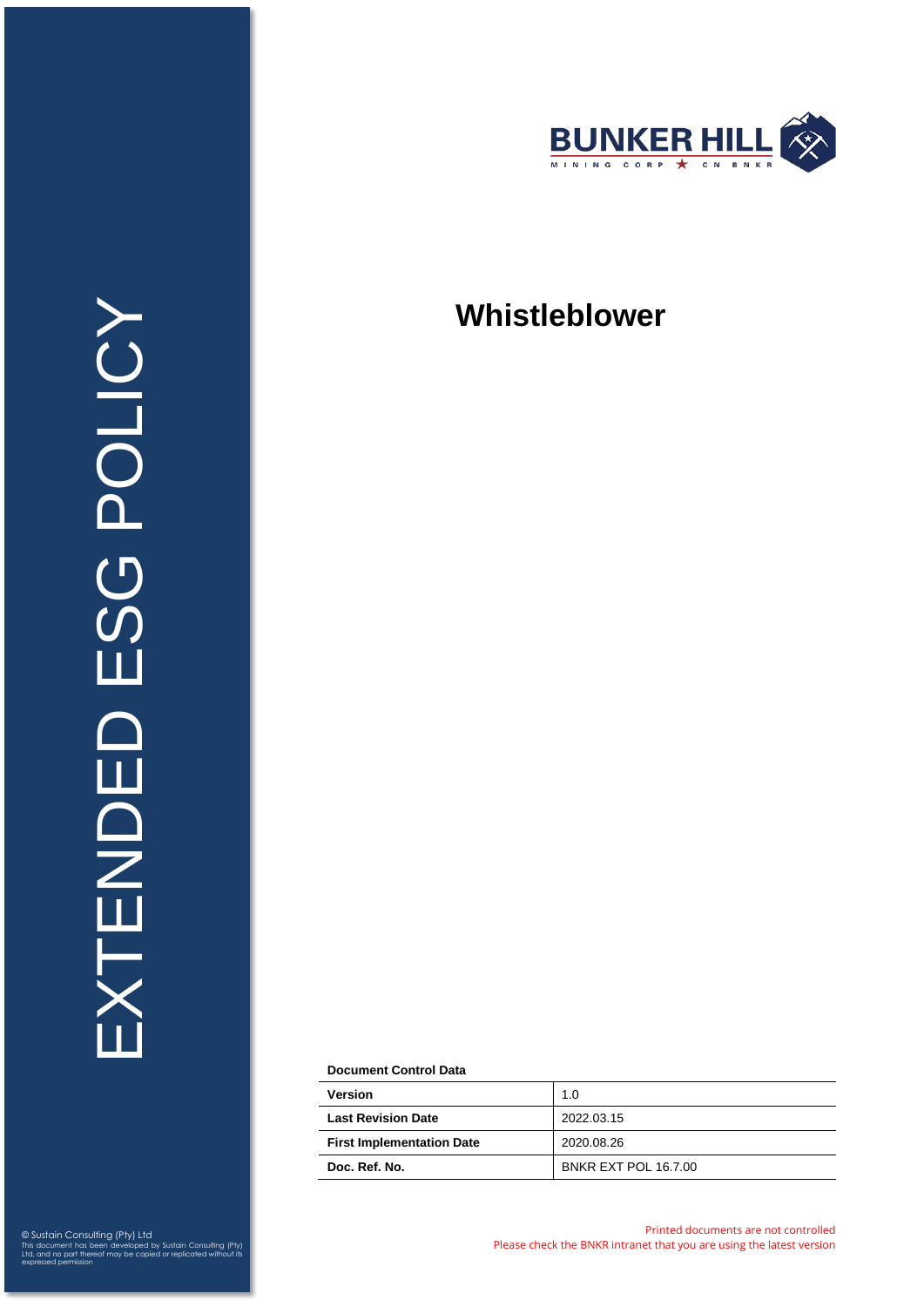

# **Whistleblower**

**Document Control Data**

| <b>Version</b>                   | 1.0                         |
|----------------------------------|-----------------------------|
| <b>Last Revision Date</b>        | 2022.03.15                  |
| <b>First Implementation Date</b> | 2020.08.26                  |
| Doc. Ref. No.                    | <b>BNKR EXT POL 16.7.00</b> |

© Sustain Consulting (Pty) Ltd This document has been developed by Sustain Consulting (Pty) Ltd, and no part thereof may be copied or replicated without its expressed permission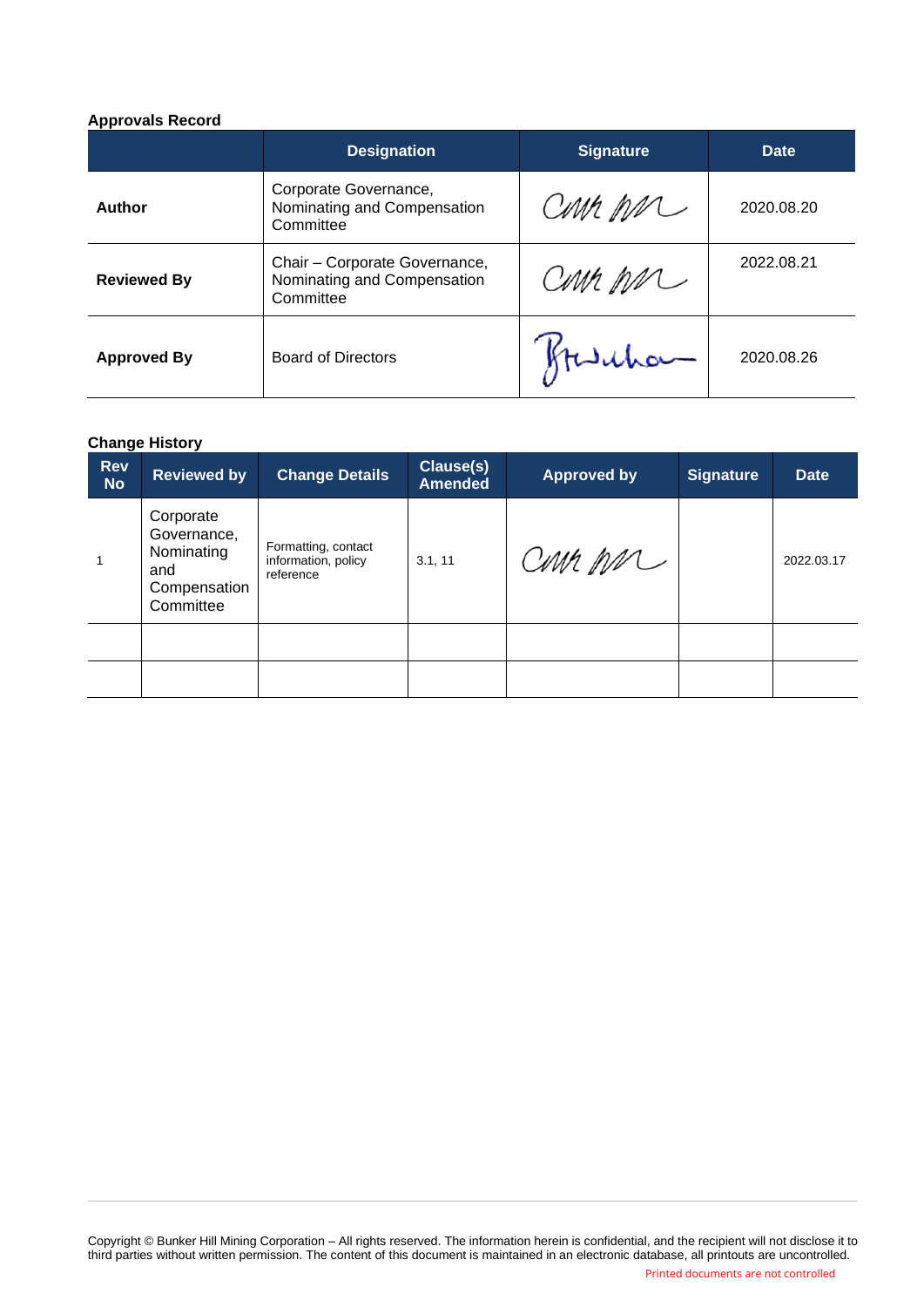## **Approvals Record**

|                    | <b>Designation</b>                                                        | <b>Signature</b> | Date       |  |
|--------------------|---------------------------------------------------------------------------|------------------|------------|--|
| Author             | Corporate Governance,<br>Nominating and Compensation<br>Committee         | CMM MM           | 2020.08.20 |  |
| <b>Reviewed By</b> | Chair - Corporate Governance,<br>Nominating and Compensation<br>Committee | CMM MM           | 2022.08.21 |  |
| <b>Approved By</b> | <b>Board of Directors</b>                                                 | Hurrhor-         | 2020.08.26 |  |

## **Change History**

| <b>Rev</b><br><b>No</b> | <b>Reviewed by</b>                                                         | <b>Change Details</b>                                   | Clause(s)<br><b>Amended</b> | <b>Approved by</b> | <b>Signature</b> | <b>Date</b> |
|-------------------------|----------------------------------------------------------------------------|---------------------------------------------------------|-----------------------------|--------------------|------------------|-------------|
|                         | Corporate<br>Governance,<br>Nominating<br>and<br>Compensation<br>Committee | Formatting, contact<br>information, policy<br>reference | 3.1, 11                     | Cour par           |                  | 2022.03.17  |
|                         |                                                                            |                                                         |                             |                    |                  |             |
|                         |                                                                            |                                                         |                             |                    |                  |             |

Copyright © Bunker Hill Mining Corporation – All rights reserved. The information herein is confidential, and the recipient will not disclose it to third parties without written permission. The content of this document is maintained in an electronic database, all printouts are uncontrolled.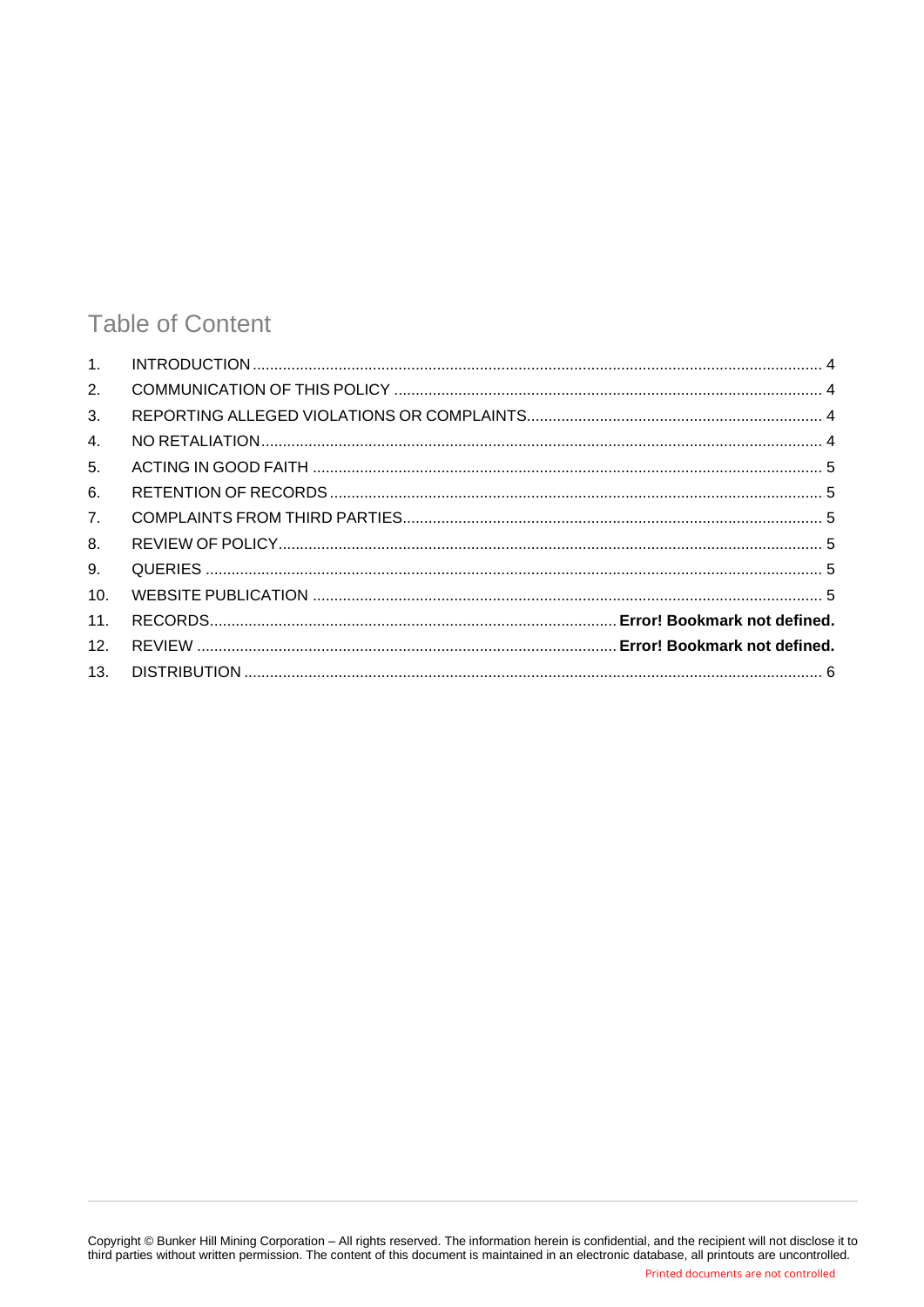## **Table of Content**

| 1 <sub>1</sub> |  |
|----------------|--|
| 2.             |  |
| 3.             |  |
| $\mathbf{4}$ . |  |
| 5.             |  |
| 6.             |  |
| 7 <sub>1</sub> |  |
| 8.             |  |
| 9.             |  |
| 10.            |  |
| 11.            |  |
| 12.            |  |
| 13.            |  |
|                |  |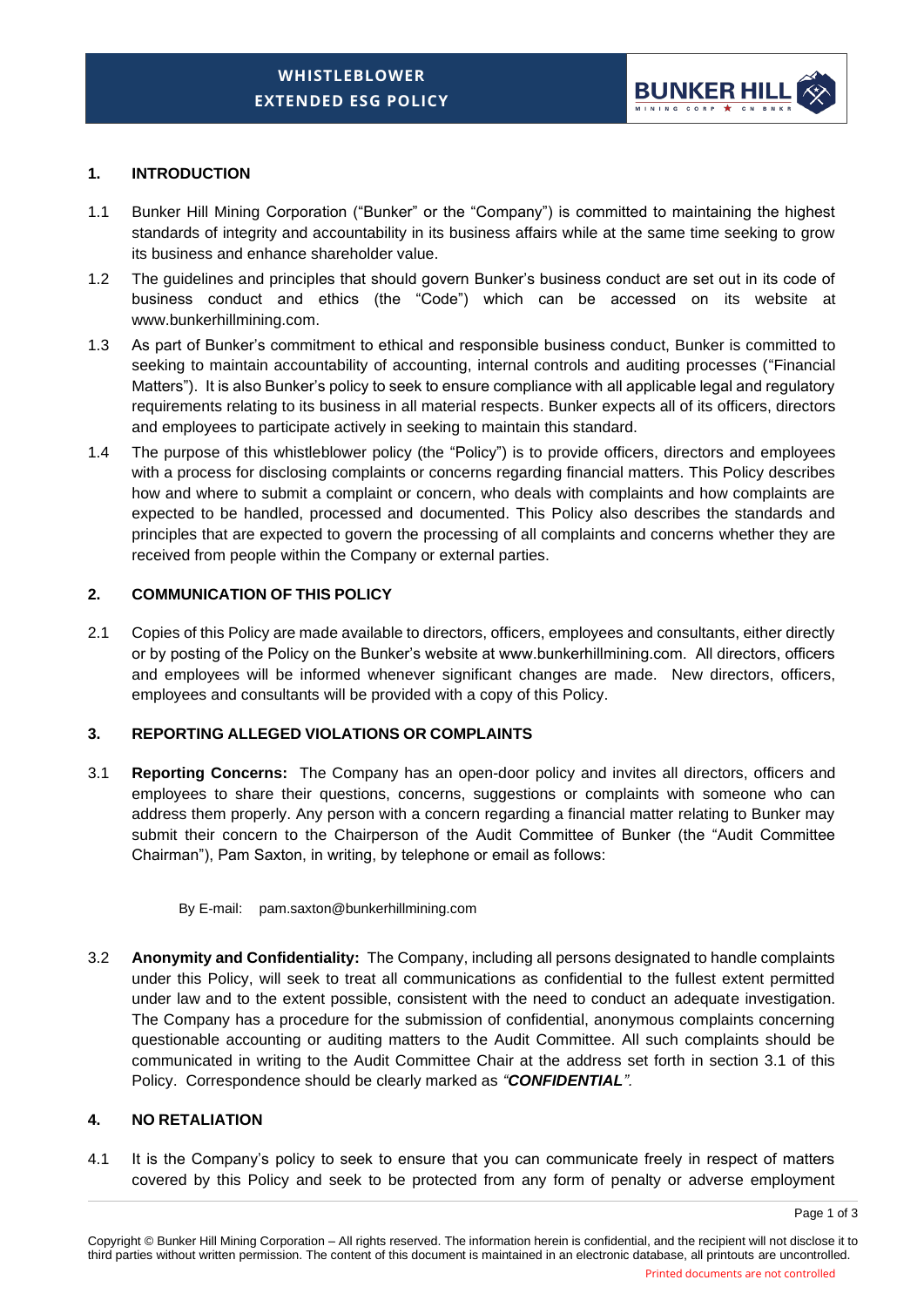

### <span id="page-3-0"></span>**1. INTRODUCTION**

- 1.1 Bunker Hill Mining Corporation ("Bunker" or the "Company") is committed to maintaining the highest standards of integrity and accountability in its business affairs while at the same time seeking to grow its business and enhance shareholder value.
- 1.2 The guidelines and principles that should govern Bunker's business conduct are set out in its code of business conduct and ethics (the "Code") which can be accessed on its website at www.bunkerhillmining.com.
- 1.3 As part of Bunker's commitment to ethical and responsible business conduct, Bunker is committed to seeking to maintain accountability of accounting, internal controls and auditing processes ("Financial Matters"). It is also Bunker's policy to seek to ensure compliance with all applicable legal and regulatory requirements relating to its business in all material respects. Bunker expects all of its officers, directors and employees to participate actively in seeking to maintain this standard.
- 1.4 The purpose of this whistleblower policy (the "Policy") is to provide officers, directors and employees with a process for disclosing complaints or concerns regarding financial matters. This Policy describes how and where to submit a complaint or concern, who deals with complaints and how complaints are expected to be handled, processed and documented. This Policy also describes the standards and principles that are expected to govern the processing of all complaints and concerns whether they are received from people within the Company or external parties.

#### <span id="page-3-1"></span>**2. COMMUNICATION OF THIS POLICY**

2.1 Copies of this Policy are made available to directors, officers, employees and consultants, either directly or by posting of the Policy on the Bunker's website at www.bunkerhillmining.com. All directors, officers and employees will be informed whenever significant changes are made. New directors, officers, employees and consultants will be provided with a copy of this Policy.

## <span id="page-3-2"></span>**3. REPORTING ALLEGED VIOLATIONS OR COMPLAINTS**

3.1 **Reporting Concerns:** The Company has an open-door policy and invites all directors, officers and employees to share their questions, concerns, suggestions or complaints with someone who can address them properly. Any person with a concern regarding a financial matter relating to Bunker may submit their concern to the Chairperson of the Audit Committee of Bunker (the "Audit Committee Chairman"), Pam Saxton, in writing, by telephone or email as follows:

#### By E-mail: pam.saxton@bunkerhillmining.com

3.2 **Anonymity and Confidentiality:** The Company, including all persons designated to handle complaints under this Policy, will seek to treat all communications as confidential to the fullest extent permitted under law and to the extent possible, consistent with the need to conduct an adequate investigation. The Company has a procedure for the submission of confidential, anonymous complaints concerning questionable accounting or auditing matters to the Audit Committee. All such complaints should be communicated in writing to the Audit Committee Chair at the address set forth in section 3.1 of this Policy. Correspondence should be clearly marked as *"CONFIDENTIAL".*

#### <span id="page-3-3"></span>**4. NO RETALIATION**

4.1 It is the Company's policy to seek to ensure that you can communicate freely in respect of matters covered by this Policy and seek to be protected from any form of penalty or adverse employment

Page 1 of 3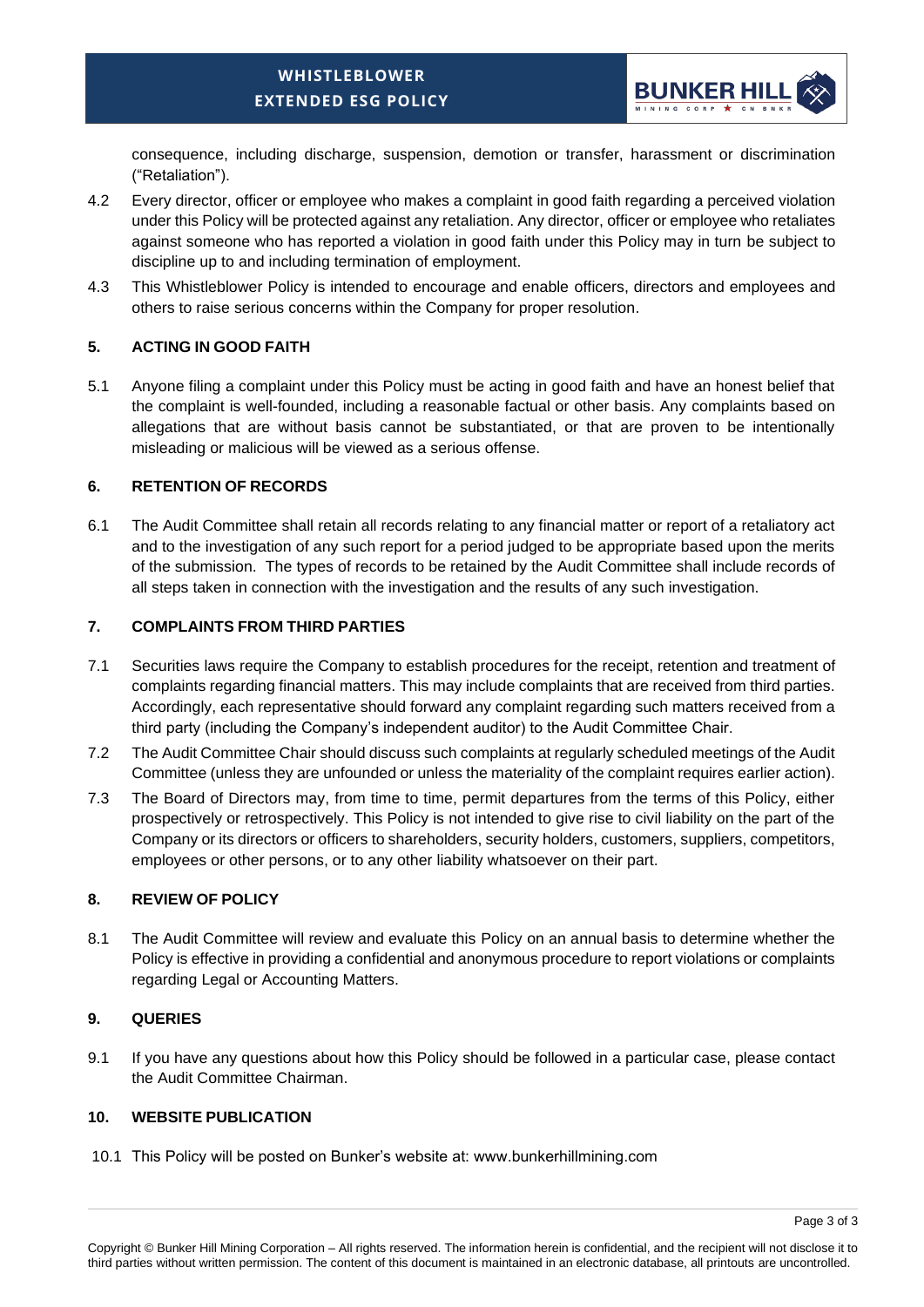

consequence, including discharge, suspension, demotion or transfer, harassment or discrimination ("Retaliation").

- 4.2 Every director, officer or employee who makes a complaint in good faith regarding a perceived violation under this Policy will be protected against any retaliation. Any director, officer or employee who retaliates against someone who has reported a violation in good faith under this Policy may in turn be subject to discipline up to and including termination of employment.
- 4.3 This Whistleblower Policy is intended to encourage and enable officers, directors and employees and others to raise serious concerns within the Company for proper resolution.

## <span id="page-4-0"></span>**5. ACTING IN GOOD FAITH**

5.1 Anyone filing a complaint under this Policy must be acting in good faith and have an honest belief that the complaint is well-founded, including a reasonable factual or other basis. Any complaints based on allegations that are without basis cannot be substantiated, or that are proven to be intentionally misleading or malicious will be viewed as a serious offense.

## <span id="page-4-1"></span>**6. RETENTION OF RECORDS**

6.1 The Audit Committee shall retain all records relating to any financial matter or report of a retaliatory act and to the investigation of any such report for a period judged to be appropriate based upon the merits of the submission. The types of records to be retained by the Audit Committee shall include records of all steps taken in connection with the investigation and the results of any such investigation.

## <span id="page-4-2"></span>**7. COMPLAINTS FROM THIRD PARTIES**

- 7.1 Securities laws require the Company to establish procedures for the receipt, retention and treatment of complaints regarding financial matters. This may include complaints that are received from third parties. Accordingly, each representative should forward any complaint regarding such matters received from a third party (including the Company's independent auditor) to the Audit Committee Chair.
- 7.2 The Audit Committee Chair should discuss such complaints at regularly scheduled meetings of the Audit Committee (unless they are unfounded or unless the materiality of the complaint requires earlier action).
- 7.3 The Board of Directors may, from time to time, permit departures from the terms of this Policy, either prospectively or retrospectively. This Policy is not intended to give rise to civil liability on the part of the Company or its directors or officers to shareholders, security holders, customers, suppliers, competitors, employees or other persons, or to any other liability whatsoever on their part.

## <span id="page-4-3"></span>**8. REVIEW OF POLICY**

8.1 The Audit Committee will review and evaluate this Policy on an annual basis to determine whether the Policy is effective in providing a confidential and anonymous procedure to report violations or complaints regarding Legal or Accounting Matters.

## <span id="page-4-4"></span>**9. QUERIES**

9.1 If you have any questions about how this Policy should be followed in a particular case, please contact the Audit Committee Chairman.

## <span id="page-4-5"></span>**10. WEBSITE PUBLICATION**

10.1 This Policy will be posted on Bunker's website at: www.bunkerhillmining.com